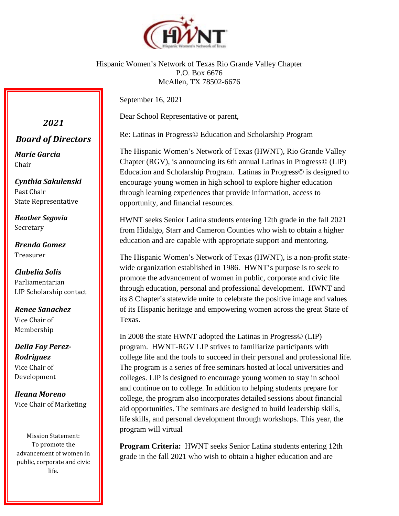

Hispanic Women's Network of Texas Rio Grande Valley Chapter P.O. Box 6676 McAllen, TX 78502-6676

September 16, 2021

Dear School Representative or parent,

Re: Latinas in Progress© Education and Scholarship Program

The Hispanic Women's Network of Texas (HWNT), Rio Grande Valley Chapter (RGV), is announcing its 6th annual Latinas in Progress© (LIP) Education and Scholarship Program. Latinas in Progress© is designed to encourage young women in high school to explore higher education through learning experiences that provide information, access to opportunity, and financial resources.

HWNT seeks Senior Latina students entering 12th grade in the fall 2021 from Hidalgo, Starr and Cameron Counties who wish to obtain a higher education and are capable with appropriate support and mentoring.

The Hispanic Women's Network of Texas (HWNT), is a non-profit statewide organization established in 1986. HWNT's purpose is to seek to promote the advancement of women in public, corporate and civic life through education, personal and professional development. HWNT and its 8 Chapter's statewide unite to celebrate the positive image and values of its Hispanic heritage and empowering women across the great State of Texas.

In 2008 the state HWNT adopted the Latinas in Progress© (LIP) program. HWNT-RGV LIP strives to familiarize participants with college life and the tools to succeed in their personal and professional life. The program is a series of free seminars hosted at local universities and colleges. LIP is designed to encourage young women to stay in school and continue on to college. In addition to helping students prepare for college, the program also incorporates detailed sessions about financial aid opportunities. The seminars are designed to build leadership skills, life skills, and personal development through workshops. This year, the program will virtual

**Program Criteria:** HWNT seeks Senior Latina students entering 12th grade in the fall 2021 who wish to obtain a higher education and are

*Board of Directors*

*2021*

*Marie Garcia* Chair

*Cynthia Sakulenski* Past Chair State Representative

*Heather Segovia* Secretary

*Brenda Gomez* Treasurer

*Clabelia Solis* Parliamentarian LIP Scholarship contact

*Renee Sanachez* Vice Chair of Membership

*Della Fay Perez-Rodriguez* Vice Chair of Development

*Ileana Moreno* Vice Chair of Marketing

Mission Statement: To promote the advancement of women in public, corporate and civic life.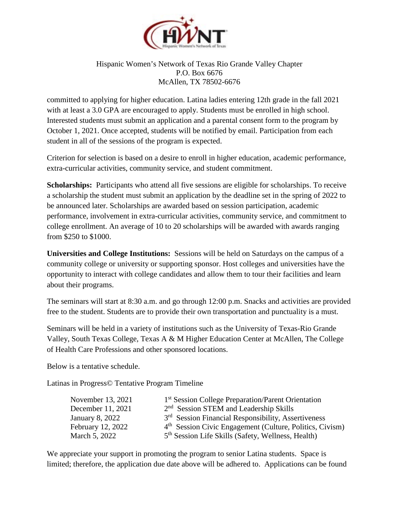

## Hispanic Women's Network of Texas Rio Grande Valley Chapter P.O. Box 6676 McAllen, TX 78502-6676

committed to applying for higher education. Latina ladies entering 12th grade in the fall 2021 with at least a 3.0 GPA are encouraged to apply. Students must be enrolled in high school. Interested students must submit an application and a parental consent form to the program by October 1, 2021. Once accepted, students will be notified by email. Participation from each student in all of the sessions of the program is expected.

Criterion for selection is based on a desire to enroll in higher education, academic performance, extra-curricular activities, community service, and student commitment.

**Scholarships:** Participants who attend all five sessions are eligible for scholarships. To receive a scholarship the student must submit an application by the deadline set in the spring of 2022 to be announced later. Scholarships are awarded based on session participation, academic performance, involvement in extra-curricular activities, community service, and commitment to college enrollment. An average of 10 to 20 scholarships will be awarded with awards ranging from \$250 to \$1000.

**Universities and College Institutions:** Sessions will be held on Saturdays on the campus of a community college or university or supporting sponsor. Host colleges and universities have the opportunity to interact with college candidates and allow them to tour their facilities and learn about their programs.

The seminars will start at 8:30 a.m. and go through 12:00 p.m. Snacks and activities are provided free to the student. Students are to provide their own transportation and punctuality is a must.

Seminars will be held in a variety of institutions such as the University of Texas-Rio Grande Valley, South Texas College, Texas A & M Higher Education Center at McAllen, The College of Health Care Professions and other sponsored locations.

Below is a tentative schedule.

Latinas in Progress© Tentative Program Timeline

| November 13, 2021 | 1 <sup>st</sup> Session College Preparation/Parent Orientation       |
|-------------------|----------------------------------------------------------------------|
| December 11, 2021 | $2nd$ Session STEM and Leadership Skills                             |
| January 8, 2022   | 3 <sup>rd</sup> Session Financial Responsibility, Assertiveness      |
| February 12, 2022 | 4 <sup>th</sup> Session Civic Engagement (Culture, Politics, Civism) |
| March 5, 2022     | 5 <sup>th</sup> Session Life Skills (Safety, Wellness, Health)       |

We appreciate your support in promoting the program to senior Latina students. Space is limited; therefore, the application due date above will be adhered to. Applications can be found